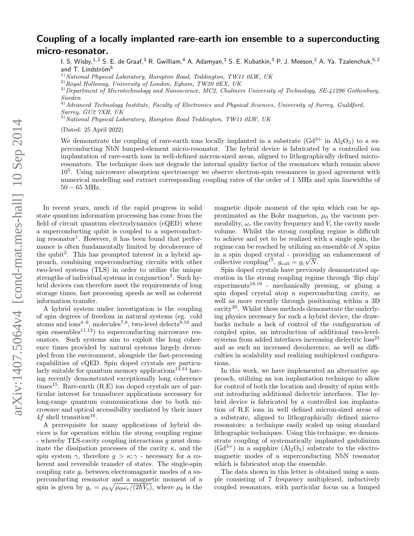## Coupling of a locally implanted rare-earth ion ensemble to a superconducting micro-resonator.

I. S. Wisby, <sup>1, 2</sup> S. E. de Graaf, <sup>3</sup> R. Gwilliam, <sup>4</sup> A. Adamyan, <sup>3</sup> S. E. Kubatkin, <sup>3</sup> P. J. Meeson, <sup>2</sup> A. Ya. Tzalenchuk, <sup>5, 2</sup> and T. Lindström<sup>5</sup>

 $1)$ National Physical Laboratory, Hampton Road, Teddington, TW11 0LW, UK

 $^{2)}$ Royal Holloway, University of London, Egham, TW20 0EX, UK

<sup>3)</sup>Department of Microtechnology and Nanoscience, MC2, Chalmers University of Technology, SE-41296 Gothenburg, Sweden

 $^{4)}$ Advanced Technology Institute, Faculty of Electronics and Physical Sciences, University of Surrey, Guildford, Surrey, GU2 7XH, UK

 $^{5)}$ National Physical Laboratory, Hampton Road Teddington, TW11 0LW, UK

(Dated: 25 April 2022)

We demonstrate the coupling of rare-earth ions locally implanted in a substrate  $(Gd^{3+}$  in  $Al_2O_3)$  to a superconducting NbN lumped-element micro-resonator. The hybrid device is fabricated by a controlled ion implantation of rare-earth ions in well-defined micron-sized areas, aligned to lithographically defined microresonators. The technique does not degrade the internal quality factor of the resonators which remain above 10<sup>5</sup> . Using microwave absorption spectroscopy we observe electron-spin resonances in good agreement with numerical modelling and extract corresponding coupling rates of the order of 1 MHz and spin linewidths of  $50 - 65$  MHz.

In recent years, much of the rapid progress in solid state quantum information processing has come from the field of circuit quantum electrodynamics (cQED) where a superconducting qubit is coupled to a superconducting resonator<sup>1</sup>. However, it has been found that performance is often fundamentally limited by decoherence of the qubit<sup>2</sup> . This has prompted interest in a hybrid approach, combining superconducting circuits with other two-level systems (TLS) in order to utilize the unique strengths of individual systems in conjunction<sup>3</sup>. Such hybrid devices can therefore meet the requirements of long storage times, fast processing speeds as well as coherent information transfer.

A hybrid system under investigation is the coupling of spin degrees of freedom in natural systems (eg. cold atoms and ions<sup>4-6</sup>, molecules<sup>7,8</sup>, two-level defects<sup>9,10</sup> and spin ensembles<sup>11,12</sup>) to superconducting microwave resonators. Such systems aim to exploit the long coherence times provided by natural systems largely decoupled from the environment, alongside the fast-processing capabilities of cQED. Spin doped crystals are particularly suitable for quantum memory applications<sup>13,14</sup> having recently demonstrated exceptionally long coherence times<sup>15</sup>. Rare-earth  $(R.E)$  ion doped crystals are of particular interest for transducer applications necessary for long-range quantum communications due to both microwave and optical accessibility mediated by their inner  $4f$  shell transition<sup>16</sup>.

A prerequisite for many applications of hybrid devices is for operation within the strong coupling regime - whereby TLS-cavity coupling interactions g must dominate the dissipation processes of the cavity  $\kappa$ , and the spin system  $\gamma$ , therefore  $g > \kappa; \gamma$  - necessary for a coherent and reversible transfer of states. The single-spin coupling rate  $g_c$  between electromagnetic modes of a superconducting resonator and a magnetic moment of a spin is given by  $g_c = \mu_b \sqrt{\mu_0 \omega_r/(2\hbar V_c)}$ , where  $\mu_b$  is the

magnetic dipole moment of the spin which can be approximated as the Bohr magneton,  $\mu_0$  the vacuum permeability,  $\omega_r$  the cavity frequency and  $V_c$  the cavity mode volume. Whilst the strong coupling regime is difficult to achieve and yet to be realized with a single spin, the regime can be reached by utilizing an ensemble of N spins in a spin doped crystal - providing an enhancement of collective coupling<sup>17</sup>,  $g_{coll} = g_c \sqrt{N}$ .

Spin doped crystals have previously demonstrated operation in the strong coupling regime through 'flip chip'  $experiments<sup>18,19</sup>$  - mechanically pressing, or gluing a spin doped crystal atop a superconducting cavity, as well as more recently through positioning within a 3D cavity20. Whilst these methods demonstrate the underlying physics necessary for such a hybrid device, the drawbacks include a lack of control of the configuration of coupled spins, an introduction of additional two-levelsystems from added interfaces increasing dielectric loss<sup>21</sup> and as such an increased decoherence, as well as difficulties in scalability and realizing multiplexed configurations.

In this work, we have implemented an alternative approach, utilizing an ion implantation technique to allow for control of both the location and density of spins without introducing additional dielectric interfaces. The hybrid device is fabricated by a controlled ion implantation of R.E ions in well defined micron-sized areas of a substrate, aligned to lithographically defined microresonators: a technique easily scaled up using standard lithographic techniques. Using this technique, we demonstrate coupling of systematically implanted gadolinium  $(Gd^{3+})$  in a sapphire  $(Al_2O_3)$  substrate to the electromagnetic modes of a superconducting NbN resonator which is fabricated atop the ensemble.

The data shown in this letter is obtained using a sample consisting of 7 frequency multiplexed, inductively coupled resonators, with particular focus on a lumped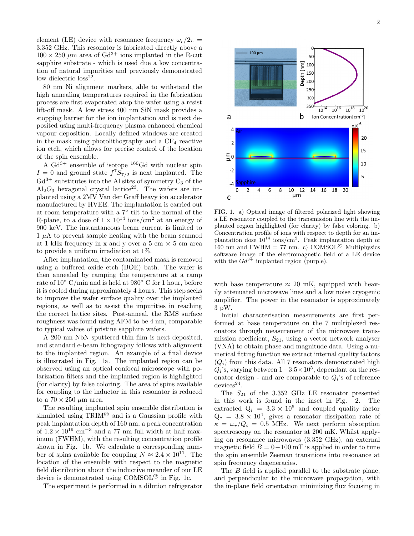element (LE) device with resonance frequency  $\omega_r/2\pi$  = 3.352 GHz. This resonator is fabricated directly above a  $100 \times 250$  µm area of Gd<sup>3+</sup> ions implanted in the R-cut sapphire substrate - which is used due a low concentration of natural impurities and previously demonstrated low dielectric  $loss^{22}$ .

80 nm Ni alignment markers, able to withstand the high annealing temperatures required in the fabrication process are first evaporated atop the wafer using a resist lift-off mask. A low stress 400 nm SiN mask provides a stopping barrier for the ion implantation and is next deposited using multi-frequency plasma enhanced chemical vapour deposition. Locally defined windows are created in the mask using photolithography and a  $CF_4$  reactive ion etch, which allows for precise control of the location of the spin ensemble.

A  $Gd^{3+}$  ensemble of isotope <sup>160</sup>Gd with nuclear spin  $I = 0$  and ground state  $f^7S_{7/2}$  is next implanted. The  $Gd^{3+}$  substitutes into the Al sites of symmetry  $C_3$  of the  $\text{Al}_2\text{O}_3$  hexagonal crystal lattice<sup>23</sup>. The wafers are implanted using a 2MV Van der Graff heavy ion accelerator manufactured by HVEE. The implantation is carried out at room temperature with a 7◦ tilt to the normal of the R-plane, to a dose of  $1 \times 10^{14}$  ions/cm<sup>2</sup> at an energy of 900 keV. The instantaneous beam current is limited to  $1 \mu A$  to prevent sample heating with the beam scanned at 1 kHz frequency in x and y over a 5 cm  $\times$  5 cm area to provide a uniform irradiation at 1%.

After implantation, the contaminated mask is removed using a buffered oxide etch (BOE) bath. The wafer is then annealed by ramping the temperature at a ramp rate of 10◦ C/min and is held at 980◦ C for 1 hour, before it is cooled during approximately 4 hours. This step seeks to improve the wafer surface quality over the implanted regions, as well as to assist the impurities in reaching the correct lattice sites. Post-anneal, the RMS surface roughness was found using AFM to be 4 nm, comparable to typical values of pristine sapphire wafers.

A 200 nm NbN sputtered thin film is next deposited, and standard e-beam lithography follows with alignment to the implanted region. An example of a final device is illustrated in Fig. 1a. The implanted region can be observed using an optical confocal microscope with polarization filters and the implanted region is highlighted (for clarity) by false coloring. The area of spins available for coupling to the inductor in this resonator is reduced to a  $70 \times 250 \ \mu \text{m}$  area.

The resulting implanted spin ensemble distribution is simulated using  $TRIM^{\circledcirc}$  and is a Gaussian profile with peak implantation depth of 160 nm, a peak concentration of  $1.2 \times 10^{19}$  cm<sup>-3</sup> and a 77 nm full width at half maximum (FWHM), with the resulting concentration profile shown in Fig. 1b. We calculate a corresponding number of spins available for coupling  $N \approx 2.4 \times 10^{11}$ . The location of the ensemble with respect to the magnetic field distribution about the inductive meander of our LE device is demonstrated using COMSOL<sup>©</sup> in Fig. 1c.

The experiment is performed in a dilution refrigerator



FIG. 1. a) Optical image of filtered polarized light showing a LE resonator coupled to the transmission line with the implanted region highlighted (for clarity) by false coloring. b) Concentration profile of ions with respect to depth for an implantation dose  $10^{14}$  ions/cm<sup>2</sup>. Peak implantation depth of 160 nm and FWHM = 77 nm. c) COMSOL<sup>©</sup> Multiphysics software image of the electromagnetic field of a LE device with the  $Gd^{3+}$  implanted region (purple).

with base temperature  $\approx 20$  mK, equipped with heavily attenuated microwave lines and a low noise cryogenic amplifier. The power in the resonator is approximately 3 pW.

Initial characterisation measurements are first performed at base temperature on the 7 multiplexed resonators through measurement of the microwave transmission coefficient,  $S_{21}$ , using a vector network analyser (VNA) to obtain phase and magnitude data. Using a numerical fitting function we extract internal quality factors  $(Q_i)$  from this data. All 7 resonators demonstrated high  $Q_i$ 's, varying between  $1-3.5 \times 10^5$ , dependant on the resonator design - and are comparable to  $Q_i$ 's of reference  $devices<sup>24</sup>$ .

The  $S_{21}$  of the 3.352 GHz LE resonator presented in this work is found in the inset in Fig. 2. The extracted  $Q_i = 3.3 \times 10^5$  and coupled quality factor  $Q_c = 3.8 \times 10^4$ , gives a resonator dissipation rate of  $\kappa = \omega_r/Q_i = 0.5$  MHz. We next perform absorption spectroscopy on the resonator at 200 mK. Whilst applying on resonance microwaves (3.352 GHz), an external magnetic field  $B = 0-100$  mT is applied in order to tune the spin ensemble Zeeman transitions into resonance at spin frequency degeneracies.

The B field is applied parallel to the substrate plane, and perpendicular to the microwave propagation, with the in-plane field orientation minimizing flux focusing in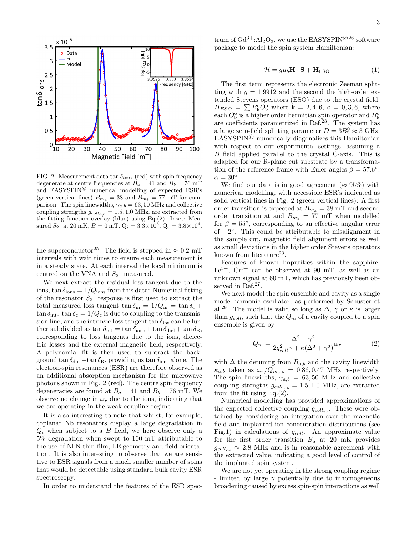

FIG. 2. Measurement data tan  $\delta_{ions}$  (red) with spin frequency degenerate at centre frequencies at  $B_a = 41$  and  $B_b = 76$  mT and EASYSPIN<sup>©</sup> numerical modelling of expected ESR's (green vertical lines)  $B_{m_a} = 38$  and  $B_{m_b} = 77$  mT for comparison. The spin linewidths,  $\gamma_{a,b} = 63, 50$  MHz and collective coupling strengths  $g_{coll_{a,b}} = 1.5, 1.0$  MHz, are extracted from the fitting function overlay (blue) using Eq.(2). Inset: Measured  $S_{21}$  at 20 mK,  $B = 0$  mT.  $Q_i = 3.3 \times 10^5$ ,  $Q_c = 3.8 \times 10^4$ .

the superconductor<sup>25</sup>. The field is stepped in  $\approx 0.2$  mT intervals with wait times to ensure each measurement is in a steady state. At each interval the local minimum is centred on the VNA and  $S_{21}$  measured.

We next extract the residual loss tangent due to the ions,  $\tan \delta_{\text{ions}} = 1/Q_{\text{ions}}$  from this data: Numerical fitting of the resonator  $S_{21}$  response is first used to extract the total measured loss tangent  $\tan \delta_m = 1/Q_m = \tan \delta_c +$  $\tan \delta_{\rm int}$ .  $\tan \delta_{\rm c} = 1/Q_{\rm c}$  is due to coupling to the transmission line, and the intrinsic loss tangent tan  $\delta_{\rm int}$  can be further subdivided as  $\tan \delta_{\text{int}} = \tan \delta_{\text{ions}} + \tan \delta_{\text{diel}} + \tan \delta_B$ , corresponding to loss tangents due to the ions, dielectric losses and the external magnetic field, respectively. A polynomial fit is then used to subtract the background  $\tan \delta_{diel} + \tan \delta_B$ , providing us  $\tan \delta_{ions}$  alone. The electron-spin resonances (ESR) are therefore observed as an additional absorption mechanism for the microwave photons shown in Fig. 2 (red). The centre spin frequency degeneracies are found at  $B_a = 41$  and  $B_b = 76$  mT. We observe no change in  $\omega_r$  due to the ions, indicating that we are operating in the weak coupling regime.

It is also interesting to note that whilst, for example, coplanar Nb resonators display a large degradation in  $Q_i$  when subject to a B field, we here observe only a 5% degradation when swept to 100 mT attributable to the use of NbN thin-film, LE geometry and field orientation. It is also interesting to observe that we are sensitive to ESR signals from a much smaller number of spins that would be detectable using standard bulk cavity ESR spectroscopy.

In order to understand the features of the ESR spec-

trum of  $Gd^{3+}:Al_2O_3$ , we use the EASYSPIN<sup>©26</sup> software package to model the spin system Hamiltonian:

$$
\mathcal{H} = g\mu_b \mathbf{H} \cdot \mathbf{S} + \mathbf{H}_{\text{ESO}} \tag{1}
$$

The first term represents the electronic Zeeman splitting with  $g = 1.9912$  and the second the high-order extended Stevens operators (ESO) due to the crystal field:  $H_{ESO} = \sum B_{k}^{o} O_{k}^{o}$  where  $k = 2, 4, 6, o = 0, 3, 6$ , where each  $O_k^{\circ}$  is a higher order hermitian spin operator and  $B_k^{\circ}$ each  $\sigma_k$  is a higher order hermitian spin operator and  $D_k$  are coefficients parametrized in Ref.<sup>23</sup>. The system has a large zero-field splitting parameter  $D = 3B_2^0 \approx 3$  GHz.  $EASYSPIN^{\circledcirc}$  numerically diagonalizes this Hamiltonian with respect to our experimental settings, assuming a B field applied parallel to the crystal C-axis. This is adapted for our R-plane cut substrate by a transformation of the reference frame with Euler angles  $\beta = 57.6^{\circ}$ ,  $\alpha = 30^{\circ}.$ 

We find our data is in good agreement ( $\approx 95\%$ ) with numerical modelling, with accessible ESR's indicated as solid vertical lines in Fig. 2 (green vertical lines): A first order transition is expected at  $B_{m_a} = 38$  mT and second order transition at and  $B_{m_b} = 77$  mT when modelled for  $\beta = 55^{\circ}$ , corresponding to an effective angular error of  $-2^{\circ}$ . This could be attributable to misalignment in the sample cut, magnetic field alignment errors as well as small deviations in the higher order Stevens operators known from literature<sup>23</sup>.

Features of known impurities within the sapphire:  $Fe<sup>3+</sup>$ ,  $Cr<sup>3+</sup>$  can be observed at 90 mT, as well as an unknown signal at 60 mT, which has previously been observed in Ref.<sup>27</sup>.

We next model the spin ensemble and cavity as a single mode harmonic oscillator, as performed by Schuster et al.<sup>28</sup>. The model is valid so long as  $\Delta$ ,  $\gamma$  or  $\kappa$  is larger than  $g_{coll}$ , such that the  $Q_m$  of a cavity coupled to a spin ensemble is given by

$$
Q_m = \frac{\Delta^2 + \gamma^2}{2g_{coll}^2 \gamma + \kappa(\Delta^2 + \gamma^2)} \omega_r \tag{2}
$$

with  $\Delta$  the detuning from  $B_{a,b}$  and the cavity linewidth  $\kappa_{a,b}$  taken as  $\omega_r/Q_{m_{a,b}} = 0.86, 0.47$  MHz respectively. The spin linewidths,  $\gamma_{a,b} = 63,50$  MHz and collective coupling strengths  $g_{coll_{a,b}} = 1.5, 1.0$  MHz, are extracted from the fit using Eq. $(2)$ .

Numerical modelling has provided approximations of the expected collective coupling  $g_{coll_{ex}}$ . These were obtained by considering an integration over the magnetic field and implanted ion concentration distributions (see Fig.1) in calculations of  $g_{coll}$ . An approximate value for the first order transition  $B_a$  at 20 mK provides  $g_{coll_{ex}} \approx 2.8$  MHz and is in reasonable agreement with the extracted value, indicating a good level of control of the implanted spin system.

We are not yet operating in the strong coupling regime - limited by large  $\gamma$  potentially due to inhomogeneous broadening caused by excess spin-spin interactions as well